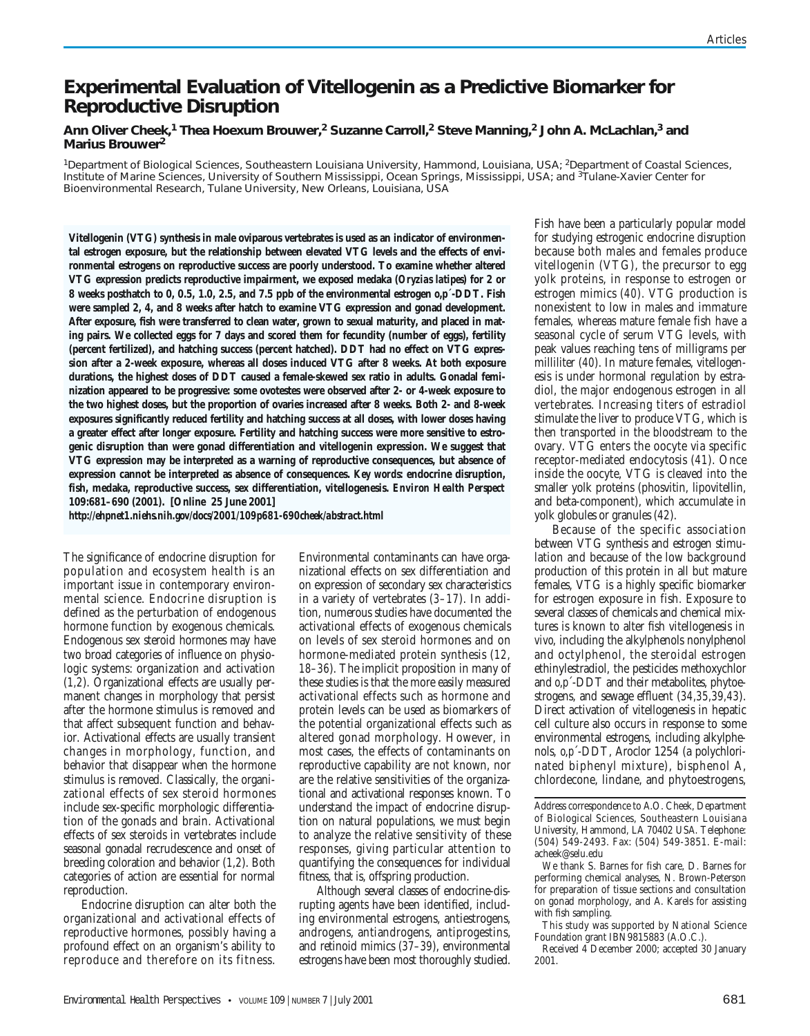# **Experimental Evaluation of Vitellogenin as a Predictive Biomarker for Reproductive Disruption**

## *Ann Oliver Cheek,1 Thea Hoexum Brouwer,2 Suzanne Carroll,2 Steve Manning,2 John A. McLachlan,3 and Marius Brouwer2*

<sup>1</sup>Department of Biological Sciences, Southeastern Louisiana University, Hammond, Louisiana, USA; <sup>2</sup>Department of Coastal Sciences, Institute of Marine Sciences, University of Southern Mississippi, Ocean Springs, Mississippi, USA; and <sup>3</sup>Tulane-Xavier Center for Bioenvironmental Research, Tulane University, New Orleans, Louisiana, USA

**Vitellogenin (VTG) synthesis in male oviparous vertebrates is used as an indicator of environmental estrogen exposure, but the relationship between elevated VTG levels and the effects of environmental estrogens on reproductive success are poorly understood. To examine whether altered VTG expression predicts reproductive impairment, we exposed medaka (***Oryzias latipes***) for 2 or 8 weeks posthatch to 0, 0.5, 1.0, 2.5, and 7.5 ppb of the environmental estrogen** *o***,***p***´-DDT. Fish were sampled 2, 4, and 8 weeks after hatch to examine VTG expression and gonad development. After exposure, fish were transferred to clean water, grown to sexual maturity, and placed in mating pairs. We collected eggs for 7 days and scored them for fecundity (number of eggs), fertility (percent fertilized), and hatching success (percent hatched). DDT had no effect on VTG expression after a 2-week exposure, whereas all doses induced VTG after 8 weeks. At both exposure durations, the highest doses of DDT caused a female-skewed sex ratio in adults. Gonadal feminization appeared to be progressive: some ovotestes were observed after 2- or 4-week exposure to the two highest doses, but the proportion of ovaries increased after 8 weeks. Both 2- and 8-week exposures significantly reduced fertility and hatching success at all doses, with lower doses having a greater effect after longer exposure. Fertility and hatching success were more sensitive to estrogenic disruption than were gonad differentiation and vitellogenin expression. We suggest that VTG expression may be interpreted as a warning of reproductive consequences, but absence of expression cannot be interpreted as absence of consequences.** *Key words***: endocrine disruption, fish, medaka, reproductive success, sex differentiation, vitellogenesis.** *Environ Health Perspect* **109:681–690 (2001). [Online 25 June 2001]**

*http://ehpnet1.niehs.nih.gov/docs/2001/109p681-690cheek/abstract.html*

The significance of endocrine disruption for population and ecosystem health is an important issue in contemporary environmental science. Endocrine disruption is defined as the perturbation of endogenous hormone function by exogenous chemicals. Endogenous sex steroid hormones may have two broad categories of influence on physiologic systems: organization and activation (*1,2*). Organizational effects are usually permanent changes in morphology that persist after the hormone stimulus is removed and that affect subsequent function and behavior. Activational effects are usually transient changes in morphology, function, and behavior that disappear when the hormone stimulus is removed. Classically, the organizational effects of sex steroid hormones include sex-specific morphologic differentiation of the gonads and brain. Activational effects of sex steroids in vertebrates include seasonal gonadal recrudescence and onset of breeding coloration and behavior (*1,2*). Both categories of action are essential for normal reproduction.

Endocrine disruption can alter both the organizational and activational effects of reproductive hormones, possibly having a profound effect on an organism's ability to reproduce and therefore on its fitness.

Environmental contaminants can have organizational effects on sex differentiation and on expression of secondary sex characteristics in a variety of vertebrates (*3–17*). In addition, numerous studies have documented the activational effects of exogenous chemicals on levels of sex steroid hormones and on hormone-mediated protein synthesis (*12, 18–36*). The implicit proposition in many of these studies is that the more easily measured activational effects such as hormone and protein levels can be used as biomarkers of the potential organizational effects such as altered gonad morphology. However, in most cases, the effects of contaminants on reproductive capability are not known, nor are the relative sensitivities of the organizational and activational responses known. To understand the impact of endocrine disruption on natural populations, we must begin to analyze the relative sensitivity of these responses, giving particular attention to quantifying the consequences for individual fitness, that is, offspring production.

Although several classes of endocrine-disrupting agents have been identified, including environmental estrogens, antiestrogens, androgens, antiandrogens, antiprogestins, and retinoid mimics (*37–39*), environmental estrogens have been most thoroughly studied.

Fish have been a particularly popular model for studying estrogenic endocrine disruption because both males and females produce vitellogenin (VTG), the precursor to egg yolk proteins, in response to estrogen or estrogen mimics (*40*). VTG production is nonexistent to low in males and immature females, whereas mature female fish have a seasonal cycle of serum VTG levels, with peak values reaching tens of milligrams per milliliter (*40*). In mature females, vitellogenesis is under hormonal regulation by estradiol, the major endogenous estrogen in all vertebrates. Increasing titers of estradiol stimulate the liver to produce VTG, which is then transported in the bloodstream to the ovary. VTG enters the oocyte via specific receptor-mediated endocytosis (*41*). Once inside the oocyte, VTG is cleaved into the smaller yolk proteins (phosvitin, lipovitellin, and beta-component), which accumulate in yolk globules or granules (*42*).

Because of the specific association between VTG synthesis and estrogen stimulation and because of the low background production of this protein in all but mature females, VTG is a highly specific biomarker for estrogen exposure in fish. Exposure to several classes of chemicals and chemical mixtures is known to alter fish vitellogenesis *in vivo*, including the alkylphenols nonylphenol and octylphenol, the steroidal estrogen ethinylestradiol, the pesticides methoxychlor and *o*,*p*´-DDT and their metabolites, phytoestrogens, and sewage effluent (*34,35,39,43*). Direct activation of vitellogenesis in hepatic cell culture also occurs in response to some environmental estrogens, including alkylphenols, *o*,*p*´-DDT, Aroclor 1254 (a polychlorinated biphenyl mixture), bisphenol A, chlordecone, lindane, and phytoestrogens,

Address correspondence to A.O. Cheek, Department of Biological Sciences, Southeastern Louisiana University, Hammond, LA 70402 USA. Telephone: (504) 549-2493. Fax: (504) 549-3851. E-mail: acheek@selu.edu

We thank S. Barnes for fish care, D. Barnes for performing chemical analyses, N. Brown-Peterson for preparation of tissue sections and consultation on gonad morphology, and A. Karels for assisting with fish sampling.

This study was supported by National Science Foundation grant IBN9815883 (A.O.C.).

Received 4 December 2000; accepted 30 January 2001.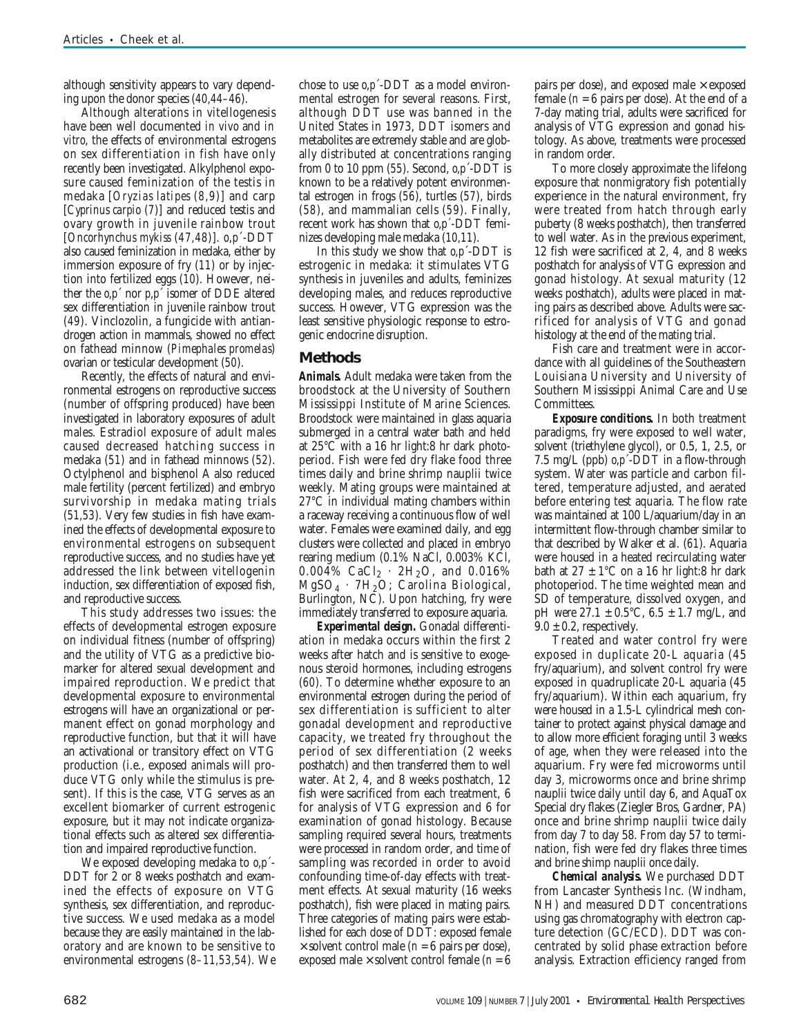although sensitivity appears to vary depending upon the donor species (*40,44–46*).

Although alterations in vitellogenesis have been well documented *in vivo* and *in vitro*, the effects of environmental estrogens on sex differentiation in fish have only recently been investigated. Alkylphenol exposure caused feminization of the testis in medaka [*Oryzias latipes* (*8,9*)] and carp [*Cyprinus carpio* (*7*)] and reduced testis and ovary growth in juvenile rainbow trout [*Oncorhynchus mykiss* (*47,48*)]. *o*,*p*´-DDT also caused feminization in medaka, either by immersion exposure of fry (*11*) or by injection into fertilized eggs (*10*). However, neither the  $\rho$ , $p'$  nor  $p$ , $p'$  isomer of DDE altered sex differentiation in juvenile rainbow trout (*49*). Vinclozolin, a fungicide with antiandrogen action in mammals, showed no effect on fathead minnow (*Pimephales promelas*) ovarian or testicular development (*50*).

Recently, the effects of natural and environmental estrogens on reproductive success (number of offspring produced) have been investigated in laboratory exposures of adult males. Estradiol exposure of adult males caused decreased hatching success in medaka (*51*) and in fathead minnows (*52*). Octylphenol and bisphenol A also reduced male fertility (percent fertilized) and embryo survivorship in medaka mating trials (*51,53*). Very few studies in fish have examined the effects of developmental exposure to environmental estrogens on subsequent reproductive success, and no studies have yet addressed the link between vitellogenin induction, sex differentiation of exposed fish, and reproductive success.

This study addresses two issues: the effects of developmental estrogen exposure on individual fitness (number of offspring) and the utility of VTG as a predictive biomarker for altered sexual development and impaired reproduction. We predict that developmental exposure to environmental estrogens will have an organizational or permanent effect on gonad morphology and reproductive function, but that it will have an activational or transitory effect on VTG production (i.e., exposed animals will produce VTG only while the stimulus is present). If this is the case, VTG serves as an excellent biomarker of current estrogenic exposure, but it may not indicate organizational effects such as altered sex differentiation and impaired reproductive function.

We exposed developing medaka to *o*,*p*´- DDT for 2 or 8 weeks posthatch and examined the effects of exposure on VTG synthesis, sex differentiation, and reproductive success. We used medaka as a model because they are easily maintained in the laboratory and are known to be sensitive to environmental estrogens (*8–11,53,54*). We chose to use *o*,*p*´-DDT as a model environmental estrogen for several reasons. First, although DDT use was banned in the United States in 1973, DDT isomers and metabolites are extremely stable and are globally distributed at concentrations ranging from 0 to 10 ppm (*55*). Second, *o*,*p*´-DDT is known to be a relatively potent environmental estrogen in frogs (*56*), turtles (*57*), birds (*58*), and mammalian cells (*59*). Finally, recent work has shown that *o*,*p*´-DDT feminizes developing male medaka (*10,11*).

In this study we show that *o,p*´-DDT is estrogenic in medaka: it stimulates VTG synthesis in juveniles and adults, feminizes developing males, and reduces reproductive success. However, VTG expression was the least sensitive physiologic response to estrogenic endocrine disruption.

### **Methods**

*Animals.* Adult medaka were taken from the broodstock at the University of Southern Mississippi Institute of Marine Sciences. Broodstock were maintained in glass aquaria submerged in a central water bath and held at 25°C with a 16 hr light:8 hr dark photoperiod. Fish were fed dry flake food three times daily and brine shrimp nauplii twice weekly. Mating groups were maintained at 27°C in individual mating chambers within a raceway receiving a continuous flow of well water. Females were examined daily, and egg clusters were collected and placed in embryo rearing medium (0.1% NaCl, 0.003% KCl, 0.004% CaCl<sub>2</sub> · 2H<sub>2</sub>O, and 0.016%  $MgSO_4$  ·  $7H_2O$ ; Carolina Biological, Burlington, NC). Upon hatching, fry were immediately transferred to exposure aquaria.

*Experimental design.* Gonadal differentiation in medaka occurs within the first 2 weeks after hatch and is sensitive to exogenous steroid hormones, including estrogens (*60*). To determine whether exposure to an environmental estrogen during the period of sex differentiation is sufficient to alter gonadal development and reproductive capacity, we treated fry throughout the period of sex differentiation (2 weeks posthatch) and then transferred them to well water. At 2, 4, and 8 weeks posthatch, 12 fish were sacrificed from each treatment, 6 for analysis of VTG expression and 6 for examination of gonad histology. Because sampling required several hours, treatments were processed in random order, and time of sampling was recorded in order to avoid confounding time-of-day effects with treatment effects. At sexual maturity (16 weeks posthatch), fish were placed in mating pairs. Three categories of mating pairs were established for each dose of DDT: exposed female  $\times$  solvent control male ( $n = 6$  pairs per dose), exposed male  $\times$  solvent control female ( $n = 6$ )

pairs per dose), and exposed male  $\times$  exposed female  $(n = 6$  pairs per dose). At the end of a 7-day mating trial, adults were sacrificed for analysis of VTG expression and gonad histology. As above, treatments were processed in random order.

To more closely approximate the lifelong exposure that nonmigratory fish potentially experience in the natural environment, fry were treated from hatch through early puberty (8 weeks posthatch), then transferred to well water. As in the previous experiment, 12 fish were sacrificed at 2, 4, and 8 weeks posthatch for analysis of VTG expression and gonad histology. At sexual maturity (12 weeks posthatch), adults were placed in mating pairs as described above. Adults were sacrificed for analysis of VTG and gonad histology at the end of the mating trial.

Fish care and treatment were in accordance with all guidelines of the Southeastern Louisiana University and University of Southern Mississippi Animal Care and Use Committees.

*Exposure conditions.* In both treatment paradigms, fry were exposed to well water, solvent (triethylene glycol), or 0.5, 1, 2.5, or 7.5 mg/L (ppb) *o*,*p*´-DDT in a flow-through system. Water was particle and carbon filtered, temperature adjusted, and aerated before entering test aquaria. The flow rate was maintained at 100 L/aquarium/day in an intermittent flow-through chamber similar to that described by Walker et al. (*61*). Aquaria were housed in a heated recirculating water bath at  $27 \pm 1^{\circ}$ C on a 16 hr light:8 hr dark photoperiod. The time weighted mean and SD of temperature, dissolved oxygen, and pH were  $27.1 \pm 0.5^{\circ}$ C,  $6.5 \pm 1.7$  mg/L, and  $9.0 \pm 0.2$ , respectively.

Treated and water control fry were exposed in duplicate 20-L aquaria (45 fry/aquarium), and solvent control fry were exposed in quadruplicate 20-L aquaria (45 fry/aquarium). Within each aquarium, fry were housed in a 1.5-L cylindrical mesh container to protect against physical damage and to allow more efficient foraging until 3 weeks of age, when they were released into the aquarium. Fry were fed microworms until day 3, microworms once and brine shrimp nauplii twice daily until day 6, and AquaTox Special dry flakes (Ziegler Bros, Gardner, PA) once and brine shrimp nauplii twice daily from day 7 to day 58. From day 57 to termination, fish were fed dry flakes three times and brine shimp nauplii once daily.

*Chemical analysis.* We purchased DDT from Lancaster Synthesis Inc. (Windham, NH) and measured DDT concentrations using gas chromatography with electron capture detection (GC/ECD). DDT was concentrated by solid phase extraction before analysis. Extraction efficiency ranged from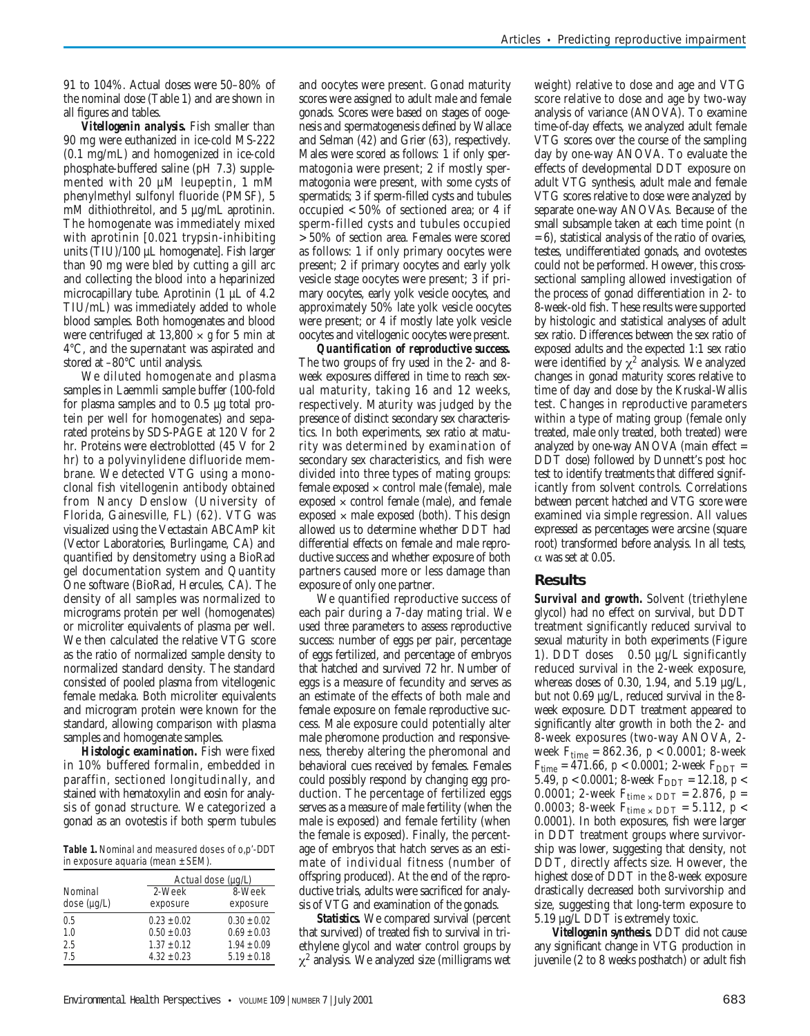91 to 104%. Actual doses were 50–80% of the nominal dose (Table 1) and are shown in all figures and tables.

*Vitellogenin analysis.* Fish smaller than 90 mg were euthanized in ice-cold MS-222 (0.1 mg/mL) and homogenized in ice-cold phosphate-buffered saline (pH 7.3) supplemented with 20 µM leupeptin, 1 mM phenylmethyl sulfonyl fluoride (PMSF), 5 mM dithiothreitol, and 5 µg/mL aprotinin. The homogenate was immediately mixed with aprotinin [0.021 trypsin-inhibiting units (TIU)/100 µL homogenate]. Fish larger than 90 mg were bled by cutting a gill arc and collecting the blood into a heparinized microcapillary tube. Aprotinin (1 µL of 4.2) TIU/mL) was immediately added to whole blood samples. Both homogenates and blood were centrifuged at  $13,800 \times g$  for 5 min at 4°C, and the supernatant was aspirated and stored at –80°C until analysis.

We diluted homogenate and plasma samples in Laemmli sample buffer (100-fold for plasma samples and to 0.5 µg total protein per well for homogenates) and separated proteins by SDS-PAGE at 120 V for 2 hr. Proteins were electroblotted (45 V for 2 hr) to a polyvinylidene difluoride membrane. We detected VTG using a monoclonal fish vitellogenin antibody obtained from Nancy Denslow (University of Florida, Gainesville, FL) (*62*). VTG was visualized using the Vectastain ABCAmP kit (Vector Laboratories, Burlingame, CA) and quantified by densitometry using a BioRad gel documentation system and Quantity One software (BioRad, Hercules, CA). The density of all samples was normalized to micrograms protein per well (homogenates) or microliter equivalents of plasma per well. We then calculated the relative VTG score as the ratio of normalized sample density to normalized standard density. The standard consisted of pooled plasma from vitellogenic female medaka. Both microliter equivalents and microgram protein were known for the standard, allowing comparison with plasma samples and homogenate samples.

*Histologic examination.* Fish were fixed in 10% buffered formalin, embedded in paraffin, sectioned longitudinally, and stained with hematoxylin and eosin for analysis of gonad structure. We categorized a gonad as an ovotestis if both sperm tubules

**Table 1.** Nominal and measured doses of *o*,*p*'-DDT in exposure aquaria (mean ± SEM).

|                 |                 | Actual dose (µg/L) |  |  |
|-----------------|-----------------|--------------------|--|--|
| Nominal         | 2-Week          | 8-Week             |  |  |
| $dose(\mu q/L)$ | exposure        | exposure           |  |  |
| 0.5             | $0.23 + 0.02$   | $0.30 + 0.02$      |  |  |
| 1.0             | $0.50 \pm 0.03$ | $0.69 \pm 0.03$    |  |  |
| 2.5             | $1.37 + 0.12$   | $1.94 + 0.09$      |  |  |
| 75              | $4.32 + 0.23$   | $5.19 + 0.18$      |  |  |

and oocytes were present. Gonad maturity scores were assigned to adult male and female gonads. Scores were based on stages of oogenesis and spermatogenesis defined by Wallace and Selman (*42*) and Grier (*63*), respectively. Males were scored as follows: 1 if only spermatogonia were present; 2 if mostly spermatogonia were present, with some cysts of spermatids; 3 if sperm-filled cysts and tubules occupied < 50% of sectioned area; or 4 if sperm-filled cysts and tubules occupied > 50% of section area. Females were scored as follows: 1 if only primary oocytes were present; 2 if primary oocytes and early yolk vesicle stage oocytes were present; 3 if primary oocytes, early yolk vesicle oocytes, and approximately 50% late yolk vesicle oocytes were present; or 4 if mostly late yolk vesicle oocytes and vitellogenic oocytes were present.

*Quantification of reproductive success.* The two groups of fry used in the 2- and 8 week exposures differed in time to reach sexual maturity, taking 16 and 12 weeks, respectively. Maturity was judged by the presence of distinct secondary sex characteristics. In both experiments, sex ratio at maturity was determined by examination of secondary sex characteristics, and fish were divided into three types of mating groups: female exposed  $\times$  control male (female), male exposed  $\times$  control female (male), and female exposed  $\times$  male exposed (both). This design allowed us to determine whether DDT had differential effects on female and male reproductive success and whether exposure of both partners caused more or less damage than exposure of only one partner.

We quantified reproductive success of each pair during a 7-day mating trial. We used three parameters to assess reproductive success: number of eggs per pair, percentage of eggs fertilized, and percentage of embryos that hatched and survived 72 hr. Number of eggs is a measure of fecundity and serves as an estimate of the effects of both male and female exposure on female reproductive success. Male exposure could potentially alter male pheromone production and responsiveness, thereby altering the pheromonal and behavioral cues received by females. Females could possibly respond by changing egg production. The percentage of fertilized eggs serves as a measure of male fertility (when the male is exposed) and female fertility (when the female is exposed). Finally, the percentage of embryos that hatch serves as an estimate of individual fitness (number of offspring produced). At the end of the reproductive trials, adults were sacrificed for analysis of VTG and examination of the gonads.

*Statistics.* We compared survival (percent that survived) of treated fish to survival in triethylene glycol and water control groups by  $\chi^2$  analysis. We analyzed size (milligrams wet

weight) relative to dose and age and VTG score relative to dose and age by two-way analysis of variance (ANOVA). To examine time-of-day effects, we analyzed adult female VTG scores over the course of the sampling day by one-way ANOVA. To evaluate the effects of developmental DDT exposure on adult VTG synthesis, adult male and female VTG scores relative to dose were analyzed by separate one-way ANOVAs. Because of the small subsample taken at each time point (*n* = 6), statistical analysis of the ratio of ovaries, testes, undifferentiated gonads, and ovotestes could not be performed. However, this crosssectional sampling allowed investigation of the process of gonad differentiation in 2- to 8-week-old fish. These results were supported by histologic and statistical analyses of adult sex ratio. Differences between the sex ratio of exposed adults and the expected 1:1 sex ratio were identified by  $\chi^2$  analysis. We analyzed changes in gonad maturity scores relative to time of day and dose by the Kruskal-Wallis test. Changes in reproductive parameters within a type of mating group (female only treated, male only treated, both treated) were analyzed by one-way ANOVA (main effect = DDT dose) followed by Dunnett's post hoc test to identify treatments that differed significantly from solvent controls. Correlations between percent hatched and VTG score were examined via simple regression. All values expressed as percentages were arcsine (square root) transformed before analysis. In all tests, α was set at 0.05.

# **Results**

*Survival and growth.* Solvent (triethylene glycol) had no effect on survival, but DDT treatment significantly reduced survival to sexual maturity in both experiments (Figure 1). DDT doses 0.50 µg/L significantly reduced survival in the 2-week exposure, whereas doses of 0.30, 1.94, and 5.19 µg/L, but not 0.69 µg/L, reduced survival in the 8 week exposure. DDT treatment appeared to significantly alter growth in both the 2- and 8-week exposures (two-way ANOVA, 2 week Ftime = 862.36, *p* < 0.0001; 8-week  $F_{time}$  = 471.66,  $p < 0.0001$ ; 2-week  $F_{DDT}$  = 5.49,  $p < 0.0001$ ; 8-week  $F_{DDT} = 12.18$ ,  $p <$ 0.0001; 2-week  $F_{time \times DDT} = 2.876$ ,  $p =$ 0.0003; 8-week  $F_{time \times DDT} = 5.112, p <$ 0.0001). In both exposures, fish were larger in DDT treatment groups where survivorship was lower, suggesting that density, not DDT, directly affects size. However, the highest dose of DDT in the 8-week exposure drastically decreased both survivorship and size, suggesting that long-term exposure to 5.19 µg/L DDT is extremely toxic.

*Vitellogenin synthesis.* DDT did not cause any significant change in VTG production in juvenile (2 to 8 weeks posthatch) or adult fish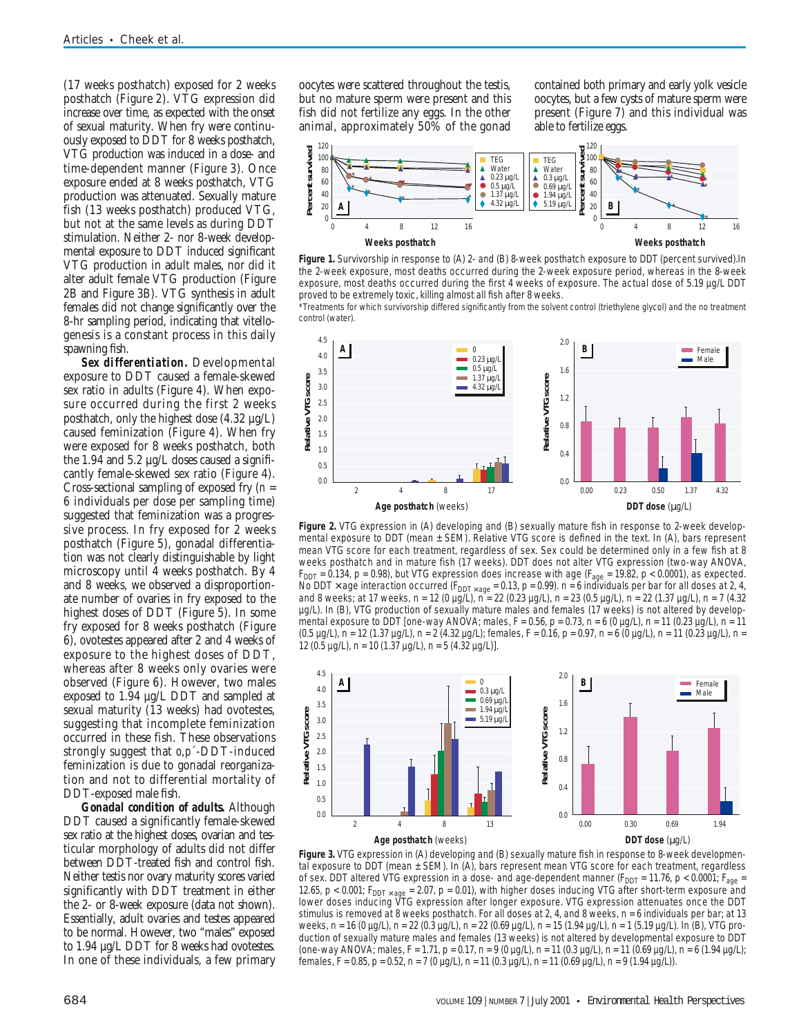(17 weeks posthatch) exposed for 2 weeks posthatch (Figure 2). VTG expression did increase over time, as expected with the onset of sexual maturity. When fry were continuously exposed to DDT for 8 weeks posthatch, VTG production was induced in a dose- and time-dependent manner (Figure 3). Once exposure ended at 8 weeks posthatch, VTG production was attenuated. Sexually mature fish (13 weeks posthatch) produced VTG, but not at the same levels as during DDT stimulation. Neither 2- nor 8-week developmental exposure to DDT induced significant VTG production in adult males, nor did it alter adult female VTG production (Figure 2B and Figure 3B). VTG synthesis in adult females did not change significantly over the 8-hr sampling period, indicating that vitellogenesis is a constant process in this daily spawning fish.

*Sex differentiation.* Developmental exposure to DDT caused a female-skewed sex ratio in adults (Figure 4). When exposure occurred during the first 2 weeks posthatch, only the highest dose (4.32 µg/L) caused feminization (Figure 4). When fry were exposed for 8 weeks posthatch, both the 1.94 and 5.2 µg/L doses caused a significantly female-skewed sex ratio (Figure 4). Cross-sectional sampling of exposed fry (*n* = 6 individuals per dose per sampling time) suggested that feminization was a progressive process. In fry exposed for 2 weeks posthatch (Figure 5), gonadal differentiation was not clearly distinguishable by light microscopy until 4 weeks posthatch. By 4 and 8 weeks, we observed a disproportionate number of ovaries in fry exposed to the highest doses of DDT (Figure 5). In some fry exposed for 8 weeks posthatch (Figure 6), ovotestes appeared after 2 and 4 weeks of exposure to the highest doses of DDT, whereas after 8 weeks only ovaries were observed (Figure 6). However, two males exposed to 1.94 µg/L DDT and sampled at sexual maturity (13 weeks) had ovotestes, suggesting that incomplete feminization occurred in these fish. These observations strongly suggest that *o*,*p*´-DDT-induced feminization is due to gonadal reorganization and not to differential mortality of DDT-exposed male fish.

*Gonadal condition of adults.* Although DDT caused a significantly female-skewed sex ratio at the highest doses, ovarian and testicular morphology of adults did not differ between DDT-treated fish and control fish. Neither testis nor ovary maturity scores varied significantly with DDT treatment in either the 2- or 8-week exposure (data not shown). Essentially, adult ovaries and testes appeared to be normal. However, two "males" exposed to 1.94 µg/L DDT for 8 weeks had ovotestes. In one of these individuals, a few primary

oocytes were scattered throughout the testis, but no mature sperm were present and this fish did not fertilize any eggs. In the other animal, approximately 50% of the gonad contained both primary and early yolk vesicle oocytes, but a few cysts of mature sperm were present (Figure 7) and this individual was able to fertilize eggs.



**Figure 1.** Survivorship in response to (*A*) 2- and (*B*) 8-week posthatch exposure to DDT (percent survived).In the 2-week exposure, most deaths occurred during the 2-week exposure period, whereas in the 8-week exposure, most deaths occurred during the first 4 weeks of exposure. The actual dose of 5.19 µg/L DDT proved to be extremely toxic, killing almost all fish after 8 weeks.

\*Treatments for which survivorship differed significantly from the solvent control (triethylene glycol) and the no treatment control (water).



**Figure 2.** VTG expression in (*A*) developing and (*B*) sexually mature fish in response to 2-week developmental exposure to DDT (mean ± SEM). Relative VTG score is defined in the text. In (*A*), bars represent mean VTG score for each treatment, regardless of sex. Sex could be determined only in a few fish at 8 weeks posthatch and in mature fish (17 weeks). DDT does not alter VTG expression (two-way ANOVA,  $F_{\text{DDT}}$  = 0.134,  $p$  = 0.98), but VTG expression does increase with age ( $F_{\text{age}}$  = 19.82,  $p$  < 0.0001), as expected. No DDT × age interaction occurred (F<sub>DDT × age</sub> = 0.13, *p* = 0.99). *n* = 6 indἶviduals per bar for all doses at 2, 4,<br>and 8 weeks; at 17 weeks, *n* = 12 (0 μg/L), *n* = 22 (0.23 μg/L), *n* = 23 (0.5 μg/L), *n* = 22 (1.3 µg/L). In (*B*), VTG production of sexually mature males and females (17 weeks) is not altered by developmental exposure to DDT [one-way ANOVA; males, F = 0.56, *p* = 0.73, *n* = 6 (0 µg/L), *n* = 11 (0.23 µg/L), *n* = 11 (0.5 µg/L), *n* = 12 (1.37 µg/L), *n* = 2 (4.32 µg/L); females, F = 0.16, *p* = 0.97, *n* = 6 (0 µg/L), *n* = 11 (0.23 µg/L), *n* = 12 (0.5 µg/L), *n* = 10 (1.37 µg/L), *n* = 5 (4.32 µg/L)].



**Figure 3.** VTG expression in (*A*) developing and (*B*) sexually mature fish in response to 8-week developmental exposure to DDT (mean ± SEM). In (*A*), bars represent mean VTG score for each treatment, regardless of sex. DDT altered VTG expression in a dose- and age-dependent manner ( $F_{DDT}$  = 11.76,  $p$  < 0.0001;  $F_{age}$  = 12.65, *p* < 0.001; F<sub>DDT × age = 2.07, *p* = 0.01), with higher doses inducing VTG after short-term exposure and<br>lower doses inducing VTG expression after longer exposure. VTG expression attenuates once the DDT</sub> stimulus is removed at 8 weeks posthatch. For all doses at 2, 4, and 8 weeks, *n* = 6 individuals per bar; at 13 weeks, *n* = 16 (0 µg/L), *n* = 22 (0.3 µg/L), *n* = 22 (0.69 µg/L), *n* = 15 (1.94 µg/L), *n* = 1 (5.19 µg/L). In (*B*), VTG production of sexually mature males and females (13 weeks) is not altered by developmental exposure to DDT (one-way ANOVA; males, F = 1.71, *p* = 0.17, *n* = 9 (0 µg/L), *n* = 11 (0.3 µg/L), *n* = 11 (0.69 µg/L), *n* = 6 (1.94 µg/L); females, F = 0.85, *p* = 0.52, *n* = 7 (0 µg/L), *n* = 11 (0.3 µg/L), *n* = 11 (0.69 µg/L), *n* = 9 (1.94 µg/L)).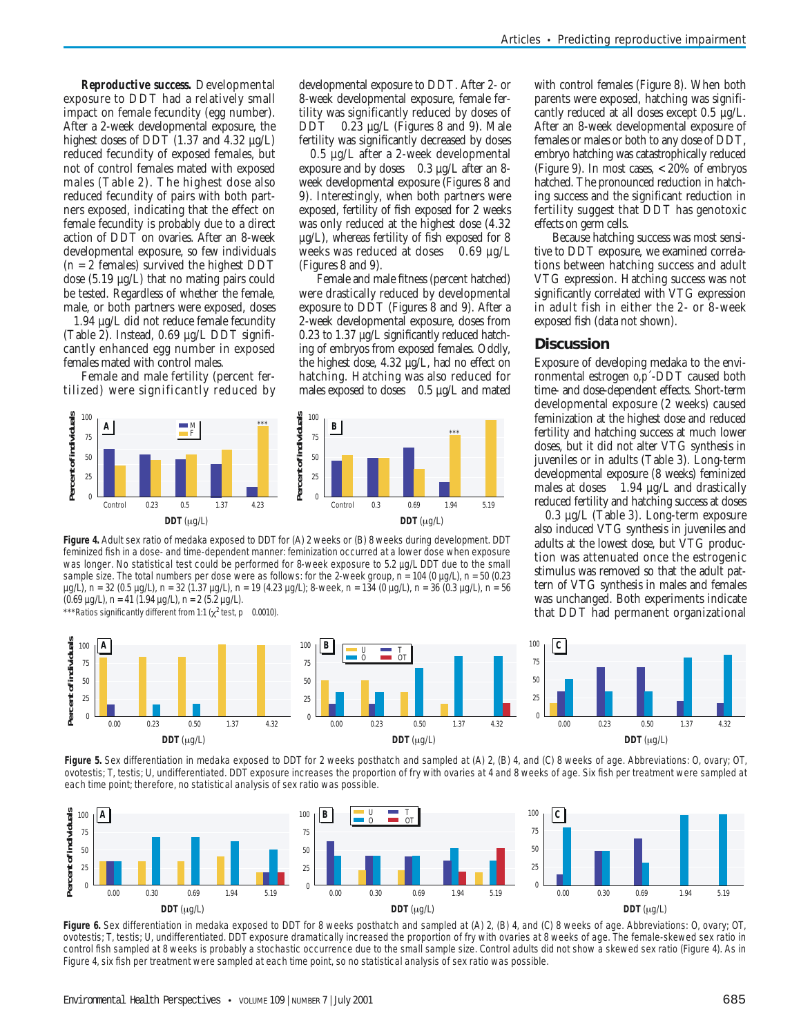*Reproductive success.* Developmental exposure to DDT had a relatively small impact on female fecundity (egg number). After a 2-week developmental exposure, the highest doses of DDT (1.37 and 4.32 µg/L) reduced fecundity of exposed females, but not of control females mated with exposed males (Table 2). The highest dose also reduced fecundity of pairs with both partners exposed, indicating that the effect on female fecundity is probably due to a direct action of DDT on ovaries. After an 8-week developmental exposure, so few individuals  $(n = 2$  females) survived the highest DDT dose (5.19 µg/L) that no mating pairs could be tested. Regardless of whether the female, male, or both partners were exposed, doses

1.94 µg/L did not reduce female fecundity (Table 2). Instead, 0.69 µg/L DDT significantly enhanced egg number in exposed females mated with control males.

Female and male fertility (percent fertilized) were significantly reduced by

75 50 25 **Percent of individua**

**Percent of individuals** 

 $\mathbf 0$ 

developmental exposure to DDT. After 2- or 8-week developmental exposure, female fertility was significantly reduced by doses of DDT 0.23  $\mu$ g/L (Figures 8 and 9). Male fertility was significantly decreased by doses

0.5 µg/L after a 2-week developmental exposure and by doses 0.3 µg/L after an 8 week developmental exposure (Figures 8 and 9). Interestingly, when both partners were exposed, fertility of fish exposed for 2 weeks was only reduced at the highest dose (4.32 µg/L), whereas fertility of fish exposed for 8 weeks was reduced at doses 0.69 µg/L (Figures 8 and 9).

Female and male fitness (percent hatched) were drastically reduced by developmental exposure to DDT (Figures 8 and 9). After a 2-week developmental exposure, doses from 0.23 to 1.37 µg/L significantly reduced hatching of embryos from exposed females. Oddly, the highest dose, 4.32 µg/L, had no effect on hatching. Hatching was also reduced for males exposed to doses 0.5 µg/L and mated



**Figure 4.** Adult sex ratio of medaka exposed to DDT for (*A*) 2 weeks or (*B*) 8 weeks during development. DDT feminized fish in a dose- and time-dependent manner: feminization occurred at a lower dose when exposure was longer. No statistical test could be performed for 8-week exposure to 5.2 µg/L DDT due to the small sample size. The total numbers per dose were as follows: for the 2-week group,  $n = 104$  (0 µg/L),  $n = 50$  (0.23 µg/L), *n* = 32 (0.5 µg/L), *n* = 32 (1.37 µg/L), *n* = 19 (4.23 µg/L); 8-week, *n* = 134 (0 µg/L), *n* = 36 (0.3 µg/L), *n* = 56 (0.69 µg/L), *n* = 41 (1.94 µg/L), *n* = 2 (5.2 µg/L). \*\*\*Ratios significantly different from 1:1  $(x^2 \text{ test}, p \quad 0.0010)$ .



with control females (Figure 8). When both parents were exposed, hatching was significantly reduced at all doses except 0.5 µg/L. After an 8-week developmental exposure of females or males or both to any dose of DDT, embryo hatching was catastrophically reduced (Figure 9). In most cases, < 20% of embryos hatched. The pronounced reduction in hatching success and the significant reduction in fertility suggest that DDT has genotoxic effects on germ cells.

Because hatching success was most sensitive to DDT exposure, we examined correlations between hatching success and adult VTG expression. Hatching success was not significantly correlated with VTG expression in adult fish in either the 2- or 8-week exposed fish (data not shown).

#### **Discussion**

Exposure of developing medaka to the environmental estrogen *o*,*p*´-DDT caused both time- and dose-dependent effects. Short-term developmental exposure (2 weeks) caused feminization at the highest dose and reduced fertility and hatching success at much lower doses, but it did not alter VTG synthesis in juveniles or in adults (Table 3). Long-term developmental exposure (8 weeks) feminized males at doses 1.94 µg/L and drastically reduced fertility and hatching success at doses

0.3 µg/L (Table 3). Long-term exposure also induced VTG synthesis in juveniles and adults at the lowest dose, but VTG production was attenuated once the estrogenic stimulus was removed so that the adult pattern of VTG synthesis in males and females was unchanged. Both experiments indicate that DDT had permanent organizational



**Figure 5.** Sex differentiation in medaka exposed to DDT for 2 weeks posthatch and sampled at (*A*) 2, (*B*) 4, and (*C*) 8 weeks of age. Abbreviations: O, ovary; OT, ovotestis; T, testis; U, undifferentiated. DDT exposure increases the proportion of fry with ovaries at 4 and 8 weeks of age. Six fish per treatment were sampled at each time point; therefore, no statistical analysis of sex ratio was possible.



**Figure 6.** Sex differentiation in medaka exposed to DDT for 8 weeks posthatch and sampled at (*A*) 2, (*B*) 4, and (*C*) 8 weeks of age. Abbreviations: O, ovary; OT, ovotestis; T, testis; U, undifferentiated. DDT exposure dramatically increased the proportion of fry with ovaries at 8 weeks of age. The female-skewed sex ratio in control fish sampled at 8 weeks is probably a stochastic occurrence due to the small sample size. Control adults did not show a skewed sex ratio (Figure 4). As in Figure 4, six fish per treatment were sampled at each time point, so no statistical analysis of sex ratio was possible.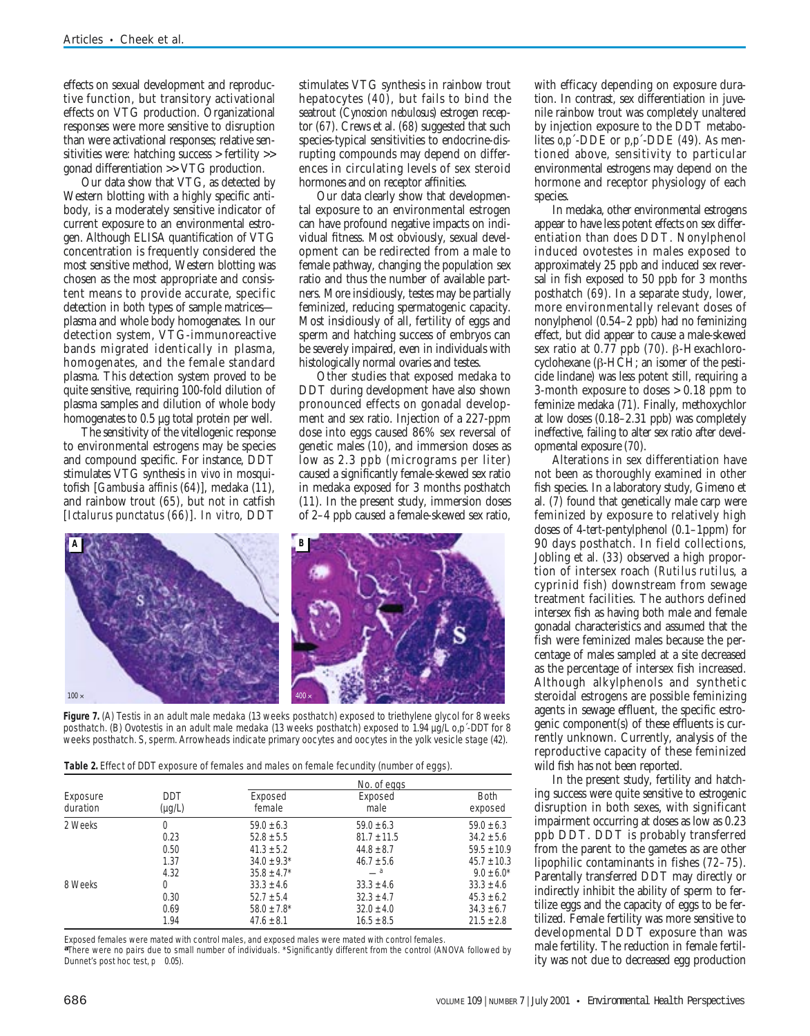effects on sexual development and reproductive function, but transitory activational effects on VTG production. Organizational responses were more sensitive to disruption than were activational responses; relative sensitivities were: hatching success > fertility >> gonad differentiation >> VTG production.

Our data show that VTG, as detected by Western blotting with a highly specific antibody, is a moderately sensitive indicator of current exposure to an environmental estrogen. Although ELISA quantification of VTG concentration is frequently considered the most sensitive method, Western blotting was chosen as the most appropriate and consistent means to provide accurate, specific detection in both types of sample matrices plasma and whole body homogenates. In our detection system, VTG-immunoreactive bands migrated identically in plasma, homogenates, and the female standard plasma. This detection system proved to be quite sensitive, requiring 100-fold dilution of plasma samples and dilution of whole body homogenates to  $0.5 \mu$ g total protein per well.

The sensitivity of the vitellogenic response to environmental estrogens may be species and compound specific. For instance, DDT stimulates VTG synthesis *in vivo* in mosquitofish [*Gambusia affinis* (*64*)], medaka (*11*), and rainbow trout (*65*), but not in catfish [*Ictalurus punctatus* (*66*)]. *In vitro*, DDT

stimulates VTG synthesis in rainbow trout hepatocytes (*40*), but fails to bind the seatrout (*Cynoscion nebulosus*) estrogen receptor (*67*). Crews et al. (*68*) suggested that such species-typical sensitivities to endocrine-disrupting compounds may depend on differences in circulating levels of sex steroid hormones and on receptor affinities.

Our data clearly show that developmental exposure to an environmental estrogen can have profound negative impacts on individual fitness. Most obviously, sexual development can be redirected from a male to female pathway, changing the population sex ratio and thus the number of available partners. More insidiously, testes may be partially feminized, reducing spermatogenic capacity. Most insidiously of all, fertility of eggs and sperm and hatching success of embryos can be severely impaired, even in individuals with histologically normal ovaries and testes.

Other studies that exposed medaka to DDT during development have also shown pronounced effects on gonadal development and sex ratio. Injection of a 227-ppm dose into eggs caused 86% sex reversal of genetic males (*10*), and immersion doses as low as 2.3 ppb (micrograms per liter) caused a significantly female-skewed sex ratio in medaka exposed for 3 months posthatch (*11*). In the present study, immersion doses of 2–4 ppb caused a female-skewed sex ratio,



**Figure 7.** (*A*) Testis in an adult male medaka (13 weeks posthatch) exposed to triethylene glycol for 8 weeks posthatch. (*B*) Ovotestis in an adult male medaka (13 weeks posthatch) exposed to 1.94 µg/L *o,p*´-DDT for 8 weeks posthatch. S, sperm. Arrowheads indicate primary oocytes and oocytes in the yolk vesicle stage (*42*).

| Table 2. Effect of DDT exposure of females and males on female fecundity (number of eggs). |  |  |  |  |
|--------------------------------------------------------------------------------------------|--|--|--|--|
|--------------------------------------------------------------------------------------------|--|--|--|--|

|                      |                      | No. of eggs       |                  |                        |  |
|----------------------|----------------------|-------------------|------------------|------------------------|--|
| Exposure<br>duration | <b>DDT</b><br>(µg/L) | Exposed<br>female | Exposed<br>male  | <b>Both</b><br>exposed |  |
| 2 Weeks              | 0                    | $59.0 \pm 6.3$    | $59.0 \pm 6.3$   | $59.0 \pm 6.3$         |  |
|                      | 0.23                 | $52.8 \pm 5.5$    | $81.7 \pm 11.5$  | $34.2 \pm 5.6$         |  |
|                      | 0.50                 | $41.3 \pm 5.2$    | $44.8 \pm 8.7$   | $59.5 \pm 10.9$        |  |
|                      | 1.37                 | $34.0 + 9.3*$     | $46.7 + 5.6$     | $45.7 \pm 10.3$        |  |
|                      | 4.32                 | $35.8 \pm 4.7^*$  | $-$ <sup>a</sup> | $9.0 \pm 6.0^*$        |  |
| 8 Weeks              | 0                    | $33.3 \pm 4.6$    | $33.3 \pm 4.6$   | $33.3 \pm 4.6$         |  |
|                      | 0.30                 | $52.7 \pm 5.4$    | $32.3 \pm 4.7$   | $45.3 \pm 6.2$         |  |
|                      | 0.69                 | $58.0 \pm 7.8$ *  | $32.0 \pm 4.0$   | $34.3 \pm 6.7$         |  |
|                      | 1.94                 | $47.6 \pm 8.1$    | $16.5 \pm 8.5$   | $21.5 \pm 2.8$         |  |

Exposed females were mated with control males, and exposed males were mated with control females.

*<sup>a</sup>*There were no pairs due to small number of individuals. \*Significantly different from the control (ANOVA followed by Dunnet's post hoc test,  $p$  0.05).

with efficacy depending on exposure duration. In contrast, sex differentiation in juvenile rainbow trout was completely unaltered by injection exposure to the DDT metabolites *o*,*p*´-DDE or *p*,*p*´-DDE (*49*). As mentioned above, sensitivity to particular environmental estrogens may depend on the hormone and receptor physiology of each species.

In medaka, other environmental estrogens appear to have less potent effects on sex differentiation than does DDT. Nonylphenol induced ovotestes in males exposed to approximately 25 ppb and induced sex reversal in fish exposed to 50 ppb for 3 months posthatch (*69*). In a separate study, lower, more environmentally relevant doses of nonylphenol (0.54–2 ppb) had no feminizing effect, but did appear to cause a male-skewed sex ratio at 0.77 ppb (*70*). β-Hexachlorocyclohexane (β-HCH; an isomer of the pesticide lindane) was less potent still, requiring a 3-month exposure to doses > 0.18 ppm to feminize medaka (*71*). Finally, methoxychlor at low doses (0.18–2.31 ppb) was completely ineffective, failing to alter sex ratio after developmental exposure (*70*).

Alterations in sex differentiation have not been as thoroughly examined in other fish species. In a laboratory study, Gimeno et al. (*7*) found that genetically male carp were feminized by exposure to relatively high doses of 4-*tert*-pentylphenol (0.1–1ppm) for 90 days posthatch. In field collections, Jobling et al. (*33*) observed a high proportion of intersex roach (*Rutilus rutilus*, a cyprinid fish) downstream from sewage treatment facilities. The authors defined intersex fish as having both male and female gonadal characteristics and assumed that the fish were feminized males because the percentage of males sampled at a site decreased as the percentage of intersex fish increased. Although alkylphenols and synthetic steroidal estrogens are possible feminizing agents in sewage effluent, the specific estrogenic component(s) of these effluents is currently unknown. Currently, analysis of the reproductive capacity of these feminized wild fish has not been reported.

In the present study, fertility and hatching success were quite sensitive to estrogenic disruption in both sexes, with significant impairment occurring at doses as low as 0.23 ppb DDT. DDT is probably transferred from the parent to the gametes as are other lipophilic contaminants in fishes (*72–75*). Parentally transferred DDT may directly or indirectly inhibit the ability of sperm to fertilize eggs and the capacity of eggs to be fertilized. Female fertility was more sensitive to developmental DDT exposure than was male fertility. The reduction in female fertility was not due to decreased egg production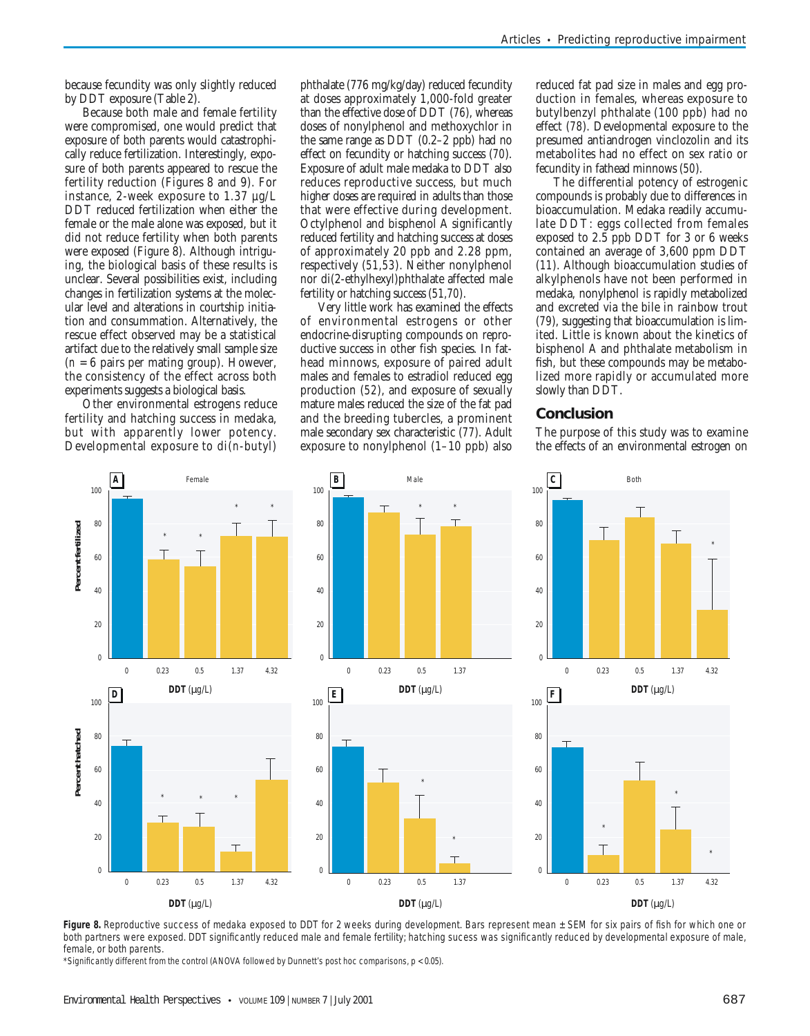because fecundity was only slightly reduced by DDT exposure (Table 2).

Because both male and female fertility were compromised, one would predict that exposure of both parents would catastrophically reduce fertilization. Interestingly, exposure of both parents appeared to rescue the fertility reduction (Figures 8 and 9). For instance, 2-week exposure to 1.37 µg/L DDT reduced fertilization when either the female or the male alone was exposed, but it did not reduce fertility when both parents were exposed (Figure 8). Although intriguing, the biological basis of these results is unclear. Several possibilities exist, including changes in fertilization systems at the molecular level and alterations in courtship initiation and consummation. Alternatively, the rescue effect observed may be a statistical artifact due to the relatively small sample size (*n* = 6 pairs per mating group). However, the consistency of the effect across both experiments suggests a biological basis.

Other environmental estrogens reduce fertility and hatching success in medaka, but with apparently lower potency. Developmental exposure to di(*n*-butyl) phthalate (776 mg/kg/day) reduced fecundity at doses approximately 1,000-fold greater than the effective dose of DDT (*76*), whereas doses of nonylphenol and methoxychlor in the same range as DDT (0.2–2 ppb) had no effect on fecundity or hatching success (*70*). Exposure of adult male medaka to DDT also reduces reproductive success, but much higher doses are required in adults than those that were effective during development. Octylphenol and bisphenol A significantly reduced fertility and hatching success at doses of approximately 20 ppb and 2.28 ppm, respectively (*51,53*). Neither nonylphenol nor di(2-ethylhexyl)phthalate affected male fertility or hatching success (*51,70*).

Very little work has examined the effects of environmental estrogens or other endocrine-disrupting compounds on reproductive success in other fish species. In fathead minnows, exposure of paired adult males and females to estradiol reduced egg production (*52*), and exposure of sexually mature males reduced the size of the fat pad and the breeding tubercles, a prominent male secondary sex characteristic (*77*). Adult exposure to nonylphenol (1–10 ppb) also reduced fat pad size in males and egg production in females, whereas exposure to butylbenzyl phthalate (100 ppb) had no effect (*78*). Developmental exposure to the presumed antiandrogen vinclozolin and its metabolites had no effect on sex ratio or fecundity in fathead minnows (*50*).

The differential potency of estrogenic compounds is probably due to differences in bioaccumulation. Medaka readily accumulate DDT: eggs collected from females exposed to 2.5 ppb DDT for 3 or 6 weeks contained an average of 3,600 ppm DDT (*11*). Although bioaccumulation studies of alkylphenols have not been performed in medaka, nonylphenol is rapidly metabolized and excreted via the bile in rainbow trout (*79*), suggesting that bioaccumulation is limited. Little is known about the kinetics of bisphenol A and phthalate metabolism in fish, but these compounds may be metabolized more rapidly or accumulated more slowly than DDT.

#### **Conclusion**

The purpose of this study was to examine the effects of an environmental estrogen on



Figure 8. Reproductive success of medaka exposed to DDT for 2 weeks during development. Bars represent mean  $\pm$  SEM for six pairs of fish for which one or both partners were exposed. DDT significantly reduced male and female fertility; hatching sucess was significantly reduced by developmental exposure of male, female, or both parents.

\*Significantly different from the control (ANOVA followed by Dunnett's post hoc comparisons, *p* < 0.05).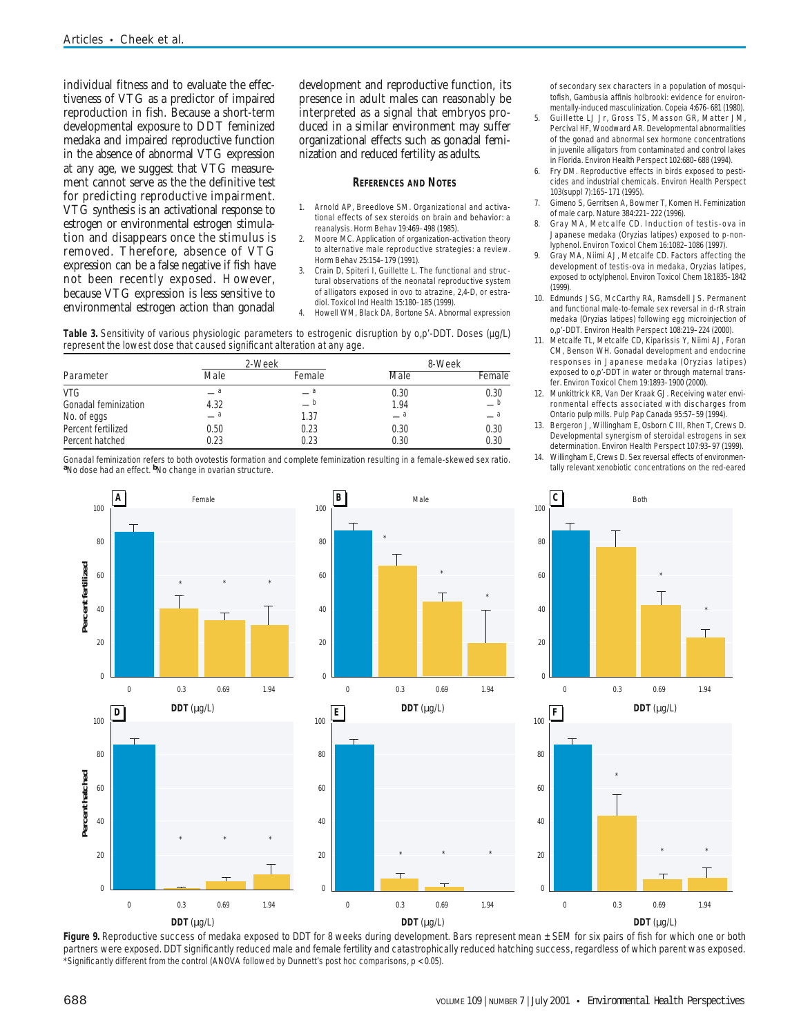individual fitness and to evaluate the effectiveness of VTG as a predictor of impaired reproduction in fish. Because a short-term developmental exposure to DDT feminized medaka and impaired reproductive function in the absence of abnormal VTG expression at any age, we suggest that VTG measurement cannot serve as the the definitive test for predicting reproductive impairment. VTG synthesis is an activational response to estrogen or environmental estrogen stimulation and disappears once the stimulus is removed. Therefore, absence of VTG expression can be a false negative if fish have not been recently exposed. However, because VTG expression is less sensitive to environmental estrogen action than gonadal

development and reproductive function, its presence in adult males can reasonably be interpreted as a signal that embryos produced in a similar environment may suffer organizational effects such as gonadal feminization and reduced fertility as adults.

#### **REFERENCES AND NOTES**

- 1. Arnold AP, Breedlove SM. Organizational and activational effects of sex steroids on brain and behavior: a reanalysis. Horm Behav 19:469–498 (1985).
- 2. Moore MC. Application of organization-activation theory to alternative male reproductive strategies: a review. Horm Behav 25:154–179 (1991).
- 3. Crain D, Spiteri I, Guillette L. The functional and structural observations of the neonatal reproductive system of alligators exposed in ovo to atrazine, 2,4-D, or estradiol. Toxicol Ind Health 15:180–185 (1999).
- 4. Howell WM, Black DA, Bortone SA. Abnormal expression

**Table 3.** Sensitivity of various physiologic parameters to estrogenic disruption by *o*,*p*'-DDT. Doses (µg/L) represent the lowest dose that caused significant alteration at any age.

|                      | 2-Week |        | 8-Week |                  |
|----------------------|--------|--------|--------|------------------|
| Parameter            | Male   | Female | Male   | Female           |
| VTG                  |        |        | 0.30   | 0.30             |
| Gonadal feminization | 4.32   |        | 1.94   | $-b$             |
| No. of eggs          |        | 1.37   | $-$ a  | $-$ <sup>a</sup> |
| Percent fertilized   | 0.50   | 0.23   | 0.30   | 0.30             |
| Percent hatched      | 0.23   | 0.23   | 0.30   | 0.30             |

Gonadal feminization refers to both ovotestis formation and complete feminization resulting in a female-skewed sex ratio. *<sup>a</sup>*No dose had an effect. *b*No change in ovarian structure.

of secondary sex characters in a population of mosquitofish, *Gambusia affinis holbrooki*: evidence for environmentally-induced masculinization. Copeia 4:676–681 (1980).

- 5. Guillette LJ Jr, Gross TS, Masson GR, Matter JM, Percival HF, Woodward AR. Developmental abnormalities of the gonad and abnormal sex hormone concentrations in juvenile alligators from contaminated and control lakes in Florida. Environ Health Perspect 102:680–688 (1994).
- Fry DM. Reproductive effects in birds exposed to pesticides and industrial chemicals. Environ Health Perspect 103(suppl 7):165–171 (1995).
- Gimeno S, Gerritsen A, Bowmer T, Komen H. Feminization of male carp. Nature 384:221–222 (1996).
- Gray MA, Metcalfe CD. Induction of testis-ova in Japanese medaka (*Oryzias latipes*) exposed to *p*-nonlyphenol. Environ Toxicol Chem 16:1082–1086 (1997).
- Gray MA, Niimi AJ, Metcalfe CD. Factors affecting the development of testis-ova in medaka, *Oryzias latipes*, exposed to octylphenol. Environ Toxicol Chem 18:1835–1842 (1999).
- 10. Edmunds JSG, McCarthy RA, Ramsdell JS. Permanent and functional male-to-female sex reversal in d-rR strain medaka (*Oryzias latipes*) following egg microinjection of *o,p*'-DDT. Environ Health Perspect 108:219–224 (2000).
- 11. Metcalfe TL, Metcalfe CD, Kiparissis Y, Niimi AJ, Foran CM, Benson WH. Gonadal development and endocrine responses in Japanese medaka (*Oryzias latipes*) exposed to  $o$ ,p'-DDT in water or through maternal transfer. Environ Toxicol Chem 19:1893–1900 (2000).
- 12. Munkittrick KR, Van Der Kraak GJ. Receiving water environmental effects associated with discharges from Ontario pulp mills. Pulp Pap Canada 95:57–59 (1994).
- 13. Bergeron J, Willingham E, Osborn C III, Rhen T, Crews D. Developmental synergism of steroidal estrogens in sex determination. Environ Health Perspect 107:93–97 (1999).
- 14. Willingham E, Crews D. Sex reversal effects of environmentally relevant xenobiotic concentrations on the red-eared



Figure 9. Reproductive success of medaka exposed to DDT for 8 weeks during development. Bars represent mean ± SEM for six pairs of fish for which one or both partners were exposed. DDT significantly reduced male and female fertility and catastrophically reduced hatching success, regardless of which parent was exposed. \*Significantly different from the control (ANOVA followed by Dunnett's post hoc comparisons, *p* < 0.05).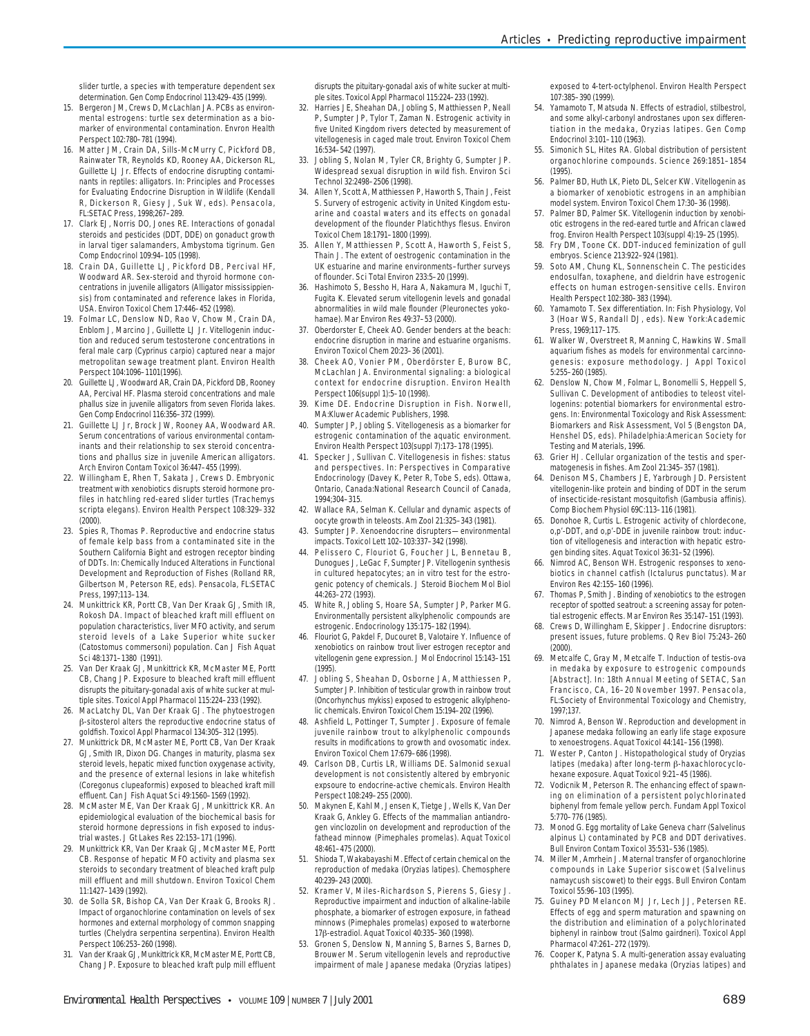slider turtle, a species with temperature dependent sex determination. Gen Comp Endocrinol 113:429–435 (1999).

- 15. Bergeron JM, Crews D, McLachlan JA. PCBs as environmental estrogens: turtle sex determination as a biomarker of environmental contamination. Envron Health Perspect 102:780–781 (1994).
- 16. Matter JM, Crain DA, Sills-McMurry C, Pickford DB, Rainwater TR, Reynolds KD, Rooney AA, Dickerson RL, Guillette LJ Jr. Effects of endocrine disrupting contaminants in reptiles: alligators. In: Principles and Processes for Evaluating Endocrine Disruption in Wildlife (Kendall R, Dickerson R, Giesy J, Suk W, eds). Pensacola, FL:SETAC Press, 1998;267–289.
- 17. Clark EJ, Norris DO, Jones RE. Interactions of gonadal steroids and pesticides (DDT, DDE) on gonaduct growth in larval tiger salamanders, *Ambystoma tigrinum*. Gen Comp Endocrinol 109:94–105 (1998).
- 18. Crain DA, Guillette LJ, Pickford DB, Percival HF, Woodward AR. Sex-steroid and thyroid hormone concentrations in juvenile alligators (*Alligator mississippiensis*) from contaminated and reference lakes in Florida, USA. Environ Toxicol Chem 17:446–452 (1998).
- 19. Folmar LC, Denslow ND, Rao V, Chow M, Crain DA, Enblom J, Marcino J, Guillette LJ Jr. Vitellogenin induction and reduced serum testosterone concentrations in feral male carp (*Cyprinus carpio*) captured near a major metropolitan sewage treatment plant. Environ Health Perspect 104:1096–1101(1996).
- 20. Guillette LJ, Woodward AR, Crain DA, Pickford DB, Rooney AA, Percival HF. Plasma steroid concentrations and male phallus size in juvenile alligators from seven Florida lakes. Gen Comp Endocrinol 116:356–372 (1999).
- 21. Guillette LJ Jr, Brock JW, Rooney AA, Woodward AR. Serum concentrations of various environmental contaminants and their relationship to sex steroid concentrations and phallus size in juvenile American alligators. Arch Environ Contam Toxicol 36:447–455 (1999).
- 22. Willingham E, Rhen T, Sakata J, Crews D. Embryonic treatment with xenobiotics disrupts steroid hormone profiles in hatchling red-eared slider turtles (*Trachemys scripta elegans*). Environ Health Perspect 108:329–332  $(2000)$
- 23. Spies R, Thomas P. Reproductive and endocrine status of female kelp bass from a contaminated site in the Southern California Bight and estrogen receptor binding of DDTs. In: Chemically Induced Alterations in Functional Development and Reproduction of Fishes (Rolland RR, Gilbertson M, Peterson RE, eds). Pensacola, FL:SETAC Press, 1997;113–134.
- 24. Munkittrick KR, Portt CB, Van Der Kraak GJ, Smith IR, Rokosh DA. Impact of bleached kraft mill effluent on population characteristics, liver MFO activity, and serum steroid levels of a Lake Superior white sucker (*Catostomus commersoni*) population. Can J Fish Aquat Sci 48:1371–1380 (1991).
- 25. Van Der Kraak GJ, Munkittrick KR, McMaster ME, Portt CB, Chang JP. Exposure to bleached kraft mill effluent disrupts the pituitary-gonadal axis of white sucker at multiple sites. Toxicol Appl Pharmacol 115:224–233 (1992).
- MacLatchy DL, Van Der Kraak GJ. The phytoestrogen β-sitosterol alters the reproductive endocrine status of goldfish. Toxicol Appl Pharmacol 134:305–312 (1995).
- 27. Munkittrick DR, McMaster ME, Portt CB, Van Der Kraak GJ, Smith IR, Dixon DG. Changes in maturity, plasma sex steroid levels, hepatic mixed function oxygenase activity, and the presence of external lesions in lake whitefish (*Coregonus clupeaformis*) exposed to bleached kraft mill effluent. Can J Fish Aquat Sci 49:1560–1569 (1992).
- 28. McMaster ME, Van Der Kraak GJ, Munkittrick KR. An epidemiological evaluation of the biochemical basis for steroid hormone depressions in fish exposed to industrial wastes. J Gt Lakes Res 22:153–171 (1996).
- 29. Munkittrick KR, Van Der Kraak GJ, McMaster ME, Portt CB. Response of hepatic MFO activity and plasma sex steroids to secondary treatment of bleached kraft pulp mill effluent and mill shutdown. Environ Toxicol Chem 11:1427–1439 (1992).
- 30. de Solla SR, Bishop CA, Van Der Kraak G, Brooks RJ. Impact of organochlorine contamination on levels of sex hormones and external morphology of common snapping turtles (*Chelydra serpentina serpentina*). Environ Health Perspect 106:253–260 (1998).
- 31. Van der Kraak GJ, Munkittrick KR, McMaster ME, Portt CB, Chang JP. Exposure to bleached kraft pulp mill effluent

disrupts the pituitary-gonadal axis of white sucker at multiple sites. Toxicol Appl Pharmacol 115:224–233 (1992).

- 32. Harries JE, Sheahan DA, Jobling S, Matthiessen P, Neall P, Sumpter JP, Tylor T, Zaman N. Estrogenic activity in five United Kingdom rivers detected by measurement of vitellogenesis in caged male trout. Environ Toxicol Chem 16:534–542 (1997).
- 33. Jobling S, Nolan M, Tyler CR, Brighty G, Sumpter JP. Widespread sexual disruption in wild fish. Environ Sci Technol 32:2498–2506 (1998).
- 34. Allen Y, Scott A, Matthiessen P, Haworth S, Thain J, Feist S. Survery of estrogenic activity in United Kingdom estuarine and coastal waters and its effects on gonadal development of the flounder *Platichthys flesus*. Environ Toxicol Chem 18:1791–1800 (1999).
- 35. Allen Y, Matthiessen P, Scott A, Haworth S, Feist S, Thain J. The extent of oestrogenic contamination in the UK estuarine and marine environments–further surveys of flounder. Sci Total Environ 233:5–20 (1999).
- 36. Hashimoto S, Bessho H, Hara A, Nakamura M, Iguchi T, Fugita K. Elevated serum vitellogenin levels and gonadal abnormalities in wild male flounder (*Pleuronectes yokohamae*). Mar Environ Res 49:37–53 (2000).
- 37. Oberdorster E, Cheek AO. Gender benders at the beach: endocrine disruption in marine and estuarine organisms. Environ Toxicol Chem 20:23–36 (2001).
- 38. Cheek AO, Vonier PM, Oberdörster E, Burow BC, McLachlan JA. Environmental signaling: a biological context for endocrine disruption. Environ Health Perspect 106(suppl 1):5–10 (1998).
- 39. Kime DE. Endocrine Disruption in Fish. Norwell, MA:Kluwer Academic Publishers, 1998.
- 40. Sumpter JP, Jobling S. Vitellogenesis as a biomarker for estrogenic contamination of the aquatic environment. Environ Health Perspect 103(suppl 7):173–178 (1995).
- 41. Specker J, Sullivan C. Vitellogenesis in fishes: status and perspectives. In: Perspectives in Comparative Endocrinology (Davey K, Peter R, Tobe S, eds). Ottawa, Ontario, Canada:National Research Council of Canada, 1994;304–315.
- 42. Wallace RA, Selman K. Cellular and dynamic aspects of oocyte growth in teleosts. Am Zool 21:325–343 (1981).
- 43. Sumpter JP. Xenoendocrine disrupters—environmental impacts. Toxicol Lett 102–103:337–342 (1998).
- 44. Pelissero C, Flouriot G, Foucher JL, Bennetau B, Dunogues J, LeGac F, Sumpter JP. Vitellogenin synthesis in cultured hepatocytes; an in vitro test for the estrogenic potency of chemicals. J Steroid Biochem Mol Biol 44:263–272 (1993).
- 45. White R, Jobling S, Hoare SA, Sumpter JP, Parker MG. Environmentally persistent alkylphenolic compounds are estrogenic. Endocrinology 135:175–182 (1994).
- 46. Flouriot G, Pakdel F, Ducouret B, Valotaire Y. Influence of xenobiotics on rainbow trout liver estrogen receptor and vitellogenin gene expression. J Mol Endocrinol 15:143–151 (1995).
- 47. Jobling S, Sheahan D, Osborne JA, Matthiessen P, Sumpter JP. Inhibition of testicular growth in rainbow trout (*Oncorhynchus mykiss*) exposed to estrogenic alkylphenolic chemicals. Environ Toxicol Chem 15:194–202 (1996).
- 48. Ashfield L, Pottinger T, Sumpter J. Exposure of female juvenile rainbow trout to alkylphenolic compounds results in modifications to growth and ovosomatic index. Environ Toxicol Chem 17:679–686 (1998).
- 49. Carlson DB, Curtis LR, Williams DE. Salmonid sexual development is not consistently altered by embryonic expsoure to endocrine-active chemicals. Environ Health Perspect 108:249–255 (2000).
- 50. Makynen E, Kahl M, Jensen K, Tietge J, Wells K, Van Der Kraak G, Ankley G. Effects of the mammalian antiandrogen vinclozolin on development and reproduction of the fathead minnow (*Pimephales promelas*). Aquat Toxicol 48:461–475 (2000).
- 51. Shioda T, Wakabayashi M. Effect of certain chemical on the reproduction of medaka (*Oryzias latipes*). Chemosphere 40:239–243 (2000).
- Kramer V, Miles-Richardson S, Pierens S, Giesy J. Reproductive impairment and induction of alkaline-labile phosphate, a biomarker of estrogen exposure, in fathead minnows (*Pimephales promelas*) exposed to waterborne 17β-estradiol. Aquat Toxicol 40:335–360 (1998).
- 53. Gronen S, Denslow N, Manning S, Barnes S, Barnes D, Brouwer M. Serum vitellogenin levels and reproductive impairment of male Japanese medaka (*Oryzias latipes*)

exposed to 4-*tert*-octylphenol. Environ Health Perspect 107:385–390 (1999).

- 54. Yamamoto T, Matsuda N. Effects of estradiol, stilbestrol, and some alkyl-carbonyl androstanes upon sex differentiation in the medaka, *Oryzias latipes*. Gen Comp Endocrinol 3:101–110 (1963).
- 55. Simonich SL, Hites RA. Global distribution of persistent organochlorine compounds. Science 269:1851–1854 (1995).
- 56. Palmer BD, Huth LK, Pieto DL, Selcer KW. Vitellogenin as a biomarker of xenobiotic estrogens in an amphibian model system. Environ Toxicol Chem 17:30–36 (1998).
- 57. Palmer BD, Palmer SK. Vitellogenin induction by xenobiotic estrogens in the red-eared turtle and African clawed frog. Environ Health Perspect 103(suppl 4):19–25 (1995).
- Fry DM, Toone CK. DDT-induced feminization of gull embryos. Science 213:922–924 (1981).
- 59. Soto AM, Chung KL, Sonnenschein C. The pesticides endosulfan, toxaphene, and dieldrin have estrogenic effects on human estrogen-sensitive cells. Environ Health Perspect 102:380–383 (1994).
- 60. Yamamoto T. Sex differentiation. In: Fish Physiology, Vol 3 (Hoar WS, Randall DJ, eds). New York:Academic Press, 1969;117–175.
- 61. Walker W, Overstreet R, Manning C, Hawkins W. Small aquarium fishes as models for environmental carcinnogenesis: exposure methodology. J Appl Toxicol 5:255–260 (1985).
- 62. Denslow N, Chow M, Folmar L, Bonomelli S, Heppell S, Sullivan C. Development of antibodies to teleost vitellogenins: potential biomarkers for environmental estrogens. In: Environmental Toxicology and Risk Assessment: Biomarkers and Risk Assessment, Vol 5 (Bengston DA, Henshel DS, eds). Philadelphia:American Society for Testing and Materials, 1996.
- 63. Grier HJ. Cellular organization of the testis and spermatogenesis in fishes. Am Zool 21:345–357 (1981).
- 64. Denison MS, Chambers JE, Yarbrough JD. Persistent vitellogenin-like protein and binding of DDT in the serum of insecticide-resistant mosquitofish (*Gambusia affinis*). Comp Biochem Physiol 69C:113–116 (1981).
- 65. Donohoe R, Curtis L. Estrogenic activity of chlordecone, *o,p*'-DDT, and *o,p*'-DDE in juvenile rainbow trout: induction of vitellogenesis and interaction with hepatic estrogen binding sites. Aquat Toxicol 36:31–52 (1996).
- Nimrod AC, Benson WH. Estrogenic responses to xenobiotics in channel catfish (*Ictalurus punctatus*). Mar Environ Res 42:155–160 (1996).
- 67. Thomas P, Smith J. Binding of xenobiotics to the estrogen receptor of spotted seatrout: a screening assay for potential estrogenic effects. Mar Environ Res 35:147–151 (1993).
- 68. Crews D, Willingham E, Skipper J. Endocrine disruptors: present issues, future problems. Q Rev Biol 75:243–260 (2000).
- 69. Metcalfe C, Gray M, Metcalfe T. Induction of testis-ova in medaka by exposure to estrogenic compounds [Abstract]. In: 18th Annual Meeting of SETAC, San Francisco, CA, 16–20 November 1997. Pensacola, FL:Society of Environmental Toxicology and Chemistry, 1997;137.
- 70. Nimrod A, Benson W. Reproduction and development in Japanese medaka following an early life stage exposure to xenoestrogens. Aquat Toxicol 44:141–156 (1998).
- 71. Wester P, Canton J. Histopathological study of *Oryzias latipes* (medaka) after long-term β-haxachlorocyclohexane exposure. Aquat Toxicol 9:21–45 (1986).
- 72. Vodicnik M, Peterson R. The enhancing effect of spawning on elimination of a persistent polychlorinated biphenyl from female yellow perch. Fundam Appl Toxicol 5:770–776 (1985).
- 73. Monod G. Egg mortality of Lake Geneva charr (*Salvelinus alpinus* L) contaminated by PCB and DDT derivatives. Bull Environ Contam Toxicol 35:531–536 (1985).
- 74. Miller M, Amrhein J. Maternal transfer of organochlorine compounds in Lake Superior siscowet (*Salvelinus namaycush siscowet*) to their eggs. Bull Environ Contam Toxicol 55:96–103 (1995).
- 75. Guiney PD Melancon MJ Jr, Lech JJ, Petersen RE. Effects of egg and sperm maturation and spawning on the distribution and elimination of a polychlorinated biphenyl in rainbow trout (*Salmo gairdneri*). Toxicol Appl Pharmacol 47:261–272 (1979).
- 76. Cooper K, Patyna S. A multi-generation assay evaluating phthalates in Japanese medaka (*Oryzias latipes*) and